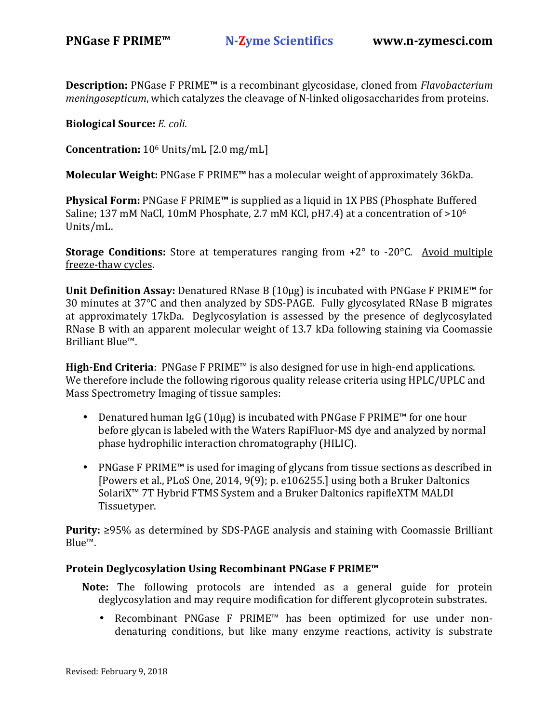**Description:** PNGase F PRIME**™** is a recombinant glycosidase, cloned from *Flavobacterium meningosepticum*, which catalyzes the cleavage of N-linked oligosaccharides from proteins.

**Biological Source:** *E. coli*.

**Concentration:** 106 Units/mL [2.0 mg/mL]

**Molecular Weight:** PNGase F PRIME**™** has a molecular weight of approximately 36kDa.

**Physical Form:** PNGase F PRIME**™** is supplied as a liquid in 1X PBS (Phosphate Buffered Saline; 137 mM NaCl, 10mM Phosphate, 2.7 mM KCl, pH7.4) at a concentration of >10<sup>6</sup> Units/mL.

**Storage Conditions:** Store at temperatures ranging from +2° to -20°C. Avoid multiple freeze-thaw cycles.

**Unit Definition Assay:** Denatured RNase B (10µg) is incubated with PNGase F PRIME™ for 30 minutes at 37°C and then analyzed by SDS-PAGE. Fully glycosylated RNase B migrates at approximately 17kDa. Deglycosylation is assessed by the presence of deglycosylated RNase B with an apparent molecular weight of 13.7 kDa following staining via Coomassie Brilliant Blue™.

**High-End Criteria**: PNGase F PRIME™ is also designed for use in high-end applications. We therefore include the following rigorous quality release criteria using HPLC/UPLC and Mass Spectrometry Imaging of tissue samples:

- Denatured human IgG (10µg) is incubated with PNGase F PRIME™ for one hour before glycan is labeled with the Waters RapiFluor-MS dye and analyzed by normal phase hydrophilic interaction chromatography (HILIC).
- PNGase F PRIME™ is used for imaging of glycans from tissue sections as described in [Powers et al., PLoS One, 2014, 9(9); p. e106255.] using both a Bruker Daltonics SolariX™ 7T Hybrid FTMS System and a Bruker Daltonics rapifleXTM MALDI Tissuetyper.

**Purity:** ≥95% as determined by SDS-PAGE analysis and staining with Coomassie Brilliant Blue™.

### **Protein Deglycosylation Using Recombinant PNGase F PRIME™**

- **Note:** The following protocols are intended as a general guide for protein deglycosylation and may require modification for different glycoprotein substrates.
	- Recombinant PNGase F PRIME™ has been optimized for use under nondenaturing conditions, but like many enzyme reactions, activity is substrate